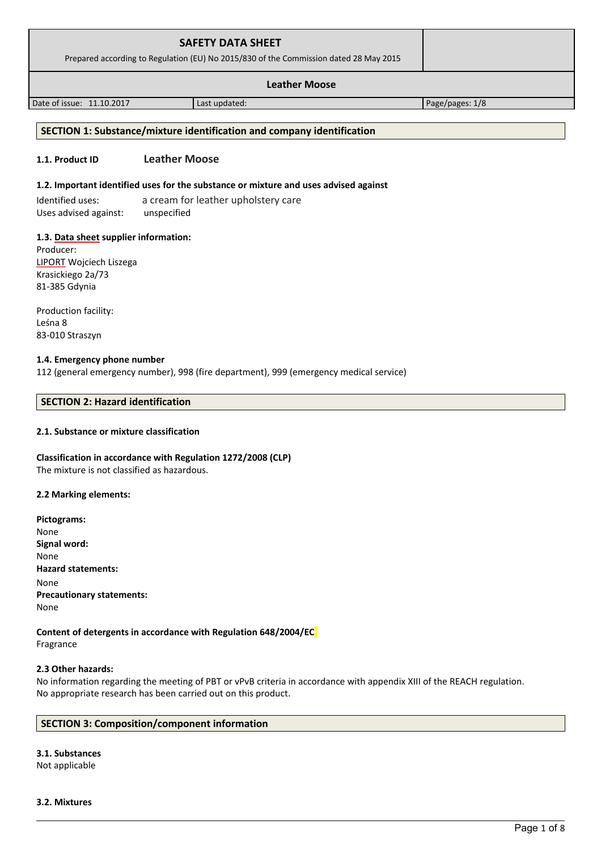| <b>SAFETY DATA SHEET</b><br>Prepared according to Regulation (EU) No 2015/830 of the Commission dated 28 May 2015 |               |                 |  |
|-------------------------------------------------------------------------------------------------------------------|---------------|-----------------|--|
| <b>Leather Moose</b>                                                                                              |               |                 |  |
| Date of issue: 11.10.2017                                                                                         | Last updated: | Page/pages: 1/8 |  |

# **SECTION 1: Substance/mixture identification and company identification**

# **1.1. Product ID Leather Moose**

#### **1.2. Important identified uses for the substance or mixture and uses advised against**

Identified uses: a cream for leather upholstery care Uses advised against: unspecified

#### **1.3. Data sheet supplier information:**

Producer: LIPORT Wojciech Liszega Krasickiego 2a/73 81-385 Gdynia

Production facility: Leśna 8 83-010 Straszyn

#### **1.4. Emergency phone number**

112 (general emergency number), 998 (fire department), 999 (emergency medical service)

#### **SECTION 2: Hazard identification**

#### **2.1. Substance or mixture classification**

**Classification in accordance with Regulation 1272/2008 (CLP)** The mixture is not classified as hazardous.

#### **2.2 Marking elements:**

**Pictograms:** None **Signal word:**  None **Hazard statements:** None **Precautionary statements:** None

**Content of detergents in accordance with Regulation 648/2004/EC** Fragrance

#### **2.3 Other hazards:**

No information regarding the meeting of PBT or vPvB criteria in accordance with appendix XIII of the REACH regulation. No appropriate research has been carried out on this product.

# **SECTION 3: Composition/component information**

# **3.1. Substances**

Not applicable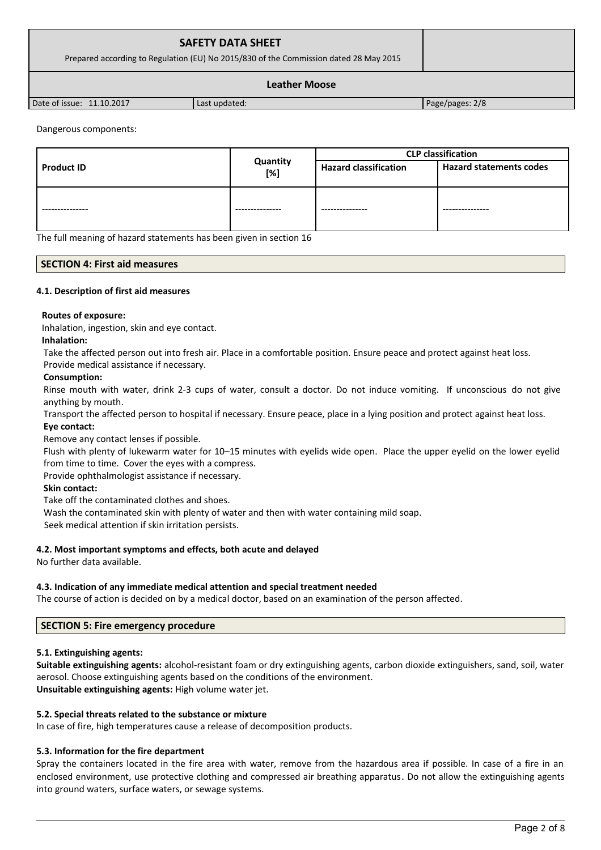| <b>SAFETY DATA SHEET</b><br>Prepared according to Regulation (EU) No 2015/830 of the Commission dated 28 May 2015 |  |
|-------------------------------------------------------------------------------------------------------------------|--|
| <b>Leather Moose</b>                                                                                              |  |

Date of issue: 11.10.2017 Last updated: Page/pages: 2/8

# Dangerous components:

|                   |                 | <b>CLP</b> classification    |                                |
|-------------------|-----------------|------------------------------|--------------------------------|
| <b>Product ID</b> | Quantity<br>[%] | <b>Hazard classification</b> | <b>Hazard statements codes</b> |
| ---------------   | --------------- | --------------               | ---------------                |

The full meaning of hazard statements has been given in section 16

# **SECTION 4: First aid measures**

# **4.1. Description of first aid measures**

#### **Routes of exposure:**

Inhalation, ingestion, skin and eye contact.

#### **Inhalation:**

Take the affected person out into fresh air. Place in a comfortable position. Ensure peace and protect against heat loss.

# Provide medical assistance if necessary.

#### **Consumption:**

Rinse mouth with water, drink 2-3 cups of water, consult a doctor. Do not induce vomiting. If unconscious do not give anything by mouth.

Transport the affected person to hospital if necessary. Ensure peace, place in a lying position and protect against heat loss. **Eye contact:**

Remove any contact lenses if possible.

Flush with plenty of lukewarm water for 10–15 minutes with eyelids wide open. Place the upper eyelid on the lower eyelid from time to time. Cover the eyes with a compress.

Provide ophthalmologist assistance if necessary.

# **Skin contact:**

Take off the contaminated clothes and shoes.

Wash the contaminated skin with plenty of water and then with water containing mild soap.

Seek medical attention if skin irritation persists.

# **4.2. Most important symptoms and effects, both acute and delayed**

No further data available.

# **4.3. Indication of any immediate medical attention and special treatment needed**

The course of action is decided on by a medical doctor, based on an examination of the person affected.

# **SECTION 5: Fire emergency procedure**

# **5.1. Extinguishing agents:**

**Suitable extinguishing agents:** alcohol-resistant foam or dry extinguishing agents, carbon dioxide extinguishers, sand, soil, water aerosol. Choose extinguishing agents based on the conditions of the environment. **Unsuitable extinguishing agents:** High volume water jet.

# **5.2. Special threats related to the substance or mixture**

In case of fire, high temperatures cause a release of decomposition products.

# **5.3. Information for the fire department**

Spray the containers located in the fire area with water, remove from the hazardous area if possible. In case of a fire in an enclosed environment, use protective clothing and compressed air breathing apparatus. Do not allow the extinguishing agents into ground waters, surface waters, or sewage systems.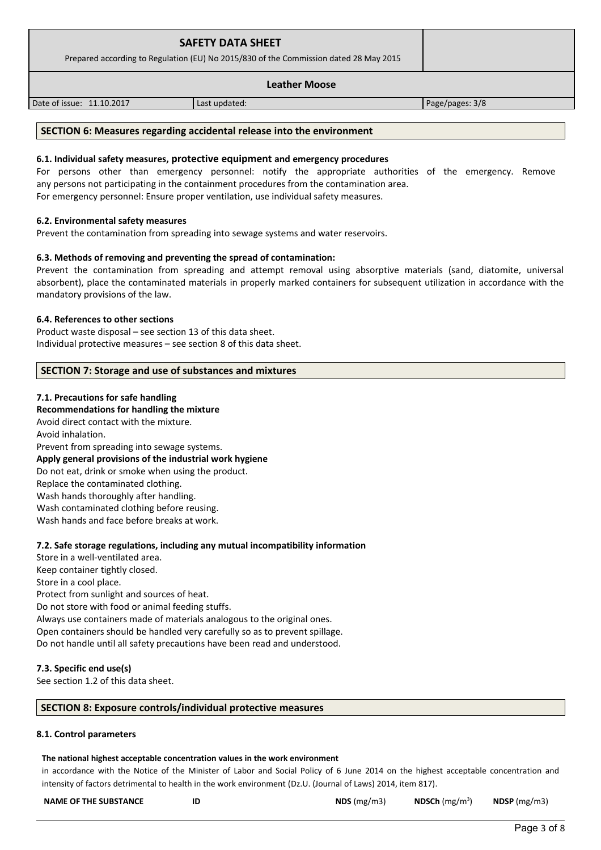|                                                                                       | <b>SAFETY DATA SHEET</b> |                 |
|---------------------------------------------------------------------------------------|--------------------------|-----------------|
| Prepared according to Regulation (EU) No 2015/830 of the Commission dated 28 May 2015 |                          |                 |
|                                                                                       |                          |                 |
| Date of issue: 11.10.2017                                                             | Last updated:            | Page/pages: 3/8 |

# **SECTION 6: Measures regarding accidental release into the environment**

#### **6.1. Individual safety measures, protective equipment and emergency procedures**

For persons other than emergency personnel: notify the appropriate authorities of the emergency. Remove any persons not participating in the containment procedures from the contamination area. For emergency personnel: Ensure proper ventilation, use individual safety measures.

#### **6.2. Environmental safety measures**

Prevent the contamination from spreading into sewage systems and water reservoirs.

#### **6.3. Methods of removing and preventing the spread of contamination:**

Prevent the contamination from spreading and attempt removal using absorptive materials (sand, diatomite, universal absorbent), place the contaminated materials in properly marked containers for subsequent utilization in accordance with the mandatory provisions of the law.

#### **6.4. References to other sections**

Product waste disposal – see section 13 of this data sheet. Individual protective measures – see section 8 of this data sheet.

#### **SECTION 7: Storage and use of substances and mixtures**

#### **7.1. Precautions for safe handling**

#### **Recommendations for handling the mixture**

Avoid direct contact with the mixture.

Avoid inhalation.

Prevent from spreading into sewage systems. **Apply general provisions of the industrial work hygiene**  Do not eat, drink or smoke when using the product. Replace the contaminated clothing. Wash hands thoroughly after handling. Wash contaminated clothing before reusing. Wash hands and face before breaks at work.

# **7.2. Safe storage regulations, including any mutual incompatibility information**

Store in a well-ventilated area. Keep container tightly closed. Store in a cool place. Protect from sunlight and sources of heat. Do not store with food or animal feeding stuffs. Always use containers made of materials analogous to the original ones. Open containers should be handled very carefully so as to prevent spillage. Do not handle until all safety precautions have been read and understood.

#### **7.3. Specific end use(s)**

See section 1.2 of this data sheet.

#### **SECTION 8: Exposure controls/individual protective measures**

#### **8.1. Control parameters**

#### **The national highest acceptable concentration values in the work environment**

in accordance with the Notice of the Minister of Labor and Social Policy of 6 June 2014 on the highest acceptable concentration and intensity of factors detrimental to health in the work environment (Dz.U. (Journal of Laws) 2014, item 817).

| <b>NAME OF THE SUBSTANCE</b> | ID | NDS $(mg/m3)$ | NDSCh $(mg/m^3)$ | NDSP (mg/m3) |
|------------------------------|----|---------------|------------------|--------------|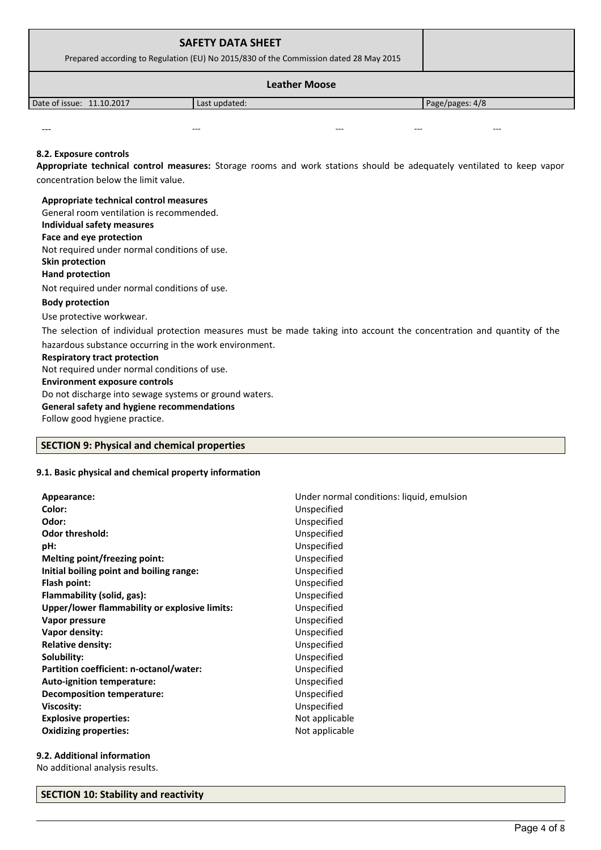| <b>SAFETY DATA SHEET</b><br>Prepared according to Regulation (EU) No 2015/830 of the Commission dated 28 May 2015 |               |                 |
|-------------------------------------------------------------------------------------------------------------------|---------------|-----------------|
| <b>Leather Moose</b>                                                                                              |               |                 |
| Date of issue: 11.10.2017                                                                                         | Last updated: | Page/pages: 4/8 |
|                                                                                                                   |               |                 |

#### **8.2. Exposure controls**

**Appropriate technical control measures:** Storage rooms and work stations should be adequately ventilated to keep vapor concentration below the limit value.

# **Appropriate technical control measures** General room ventilation is recommended. **Individual safety measures Face and eye protection** Not required under normal conditions of use. **Skin protection Hand protection** Not required under normal conditions of use. **Body protection** Use protective workwear. The selection of individual protection measures must be made taking into account the concentration and quantity of the hazardous substance occurring in the work environment. **Respiratory tract protection** Not required under normal conditions of use. **Environment exposure controls**  Do not discharge into sewage systems or ground waters. **General safety and hygiene recommendations**

--- --- --- --- ---

Follow good hygiene practice.

# **SECTION 9: Physical and chemical properties**

#### **9.1. Basic physical and chemical property information**

| Appearance:                                   | Under normal conditions: liquid, emulsion |
|-----------------------------------------------|-------------------------------------------|
| Color:                                        | Unspecified                               |
| Odor:                                         | Unspecified                               |
| <b>Odor threshold:</b>                        | Unspecified                               |
| pH:                                           | Unspecified                               |
| Melting point/freezing point:                 | Unspecified                               |
| Initial boiling point and boiling range:      | Unspecified                               |
| Flash point:                                  | Unspecified                               |
| Flammability (solid, gas):                    | Unspecified                               |
| Upper/lower flammability or explosive limits: | Unspecified                               |
| Vapor pressure                                | Unspecified                               |
| Vapor density:                                | Unspecified                               |
| <b>Relative density:</b>                      | Unspecified                               |
| Solubility:                                   | Unspecified                               |
| Partition coefficient: n-octanol/water:       | Unspecified                               |
| Auto-ignition temperature:                    | Unspecified                               |
| <b>Decomposition temperature:</b>             | Unspecified                               |
| Viscosity:                                    | Unspecified                               |
| <b>Explosive properties:</b>                  | Not applicable                            |
| <b>Oxidizing properties:</b>                  | Not applicable                            |

# **9.2. Additional information**

No additional analysis results.

#### **SECTION 10: Stability and reactivity**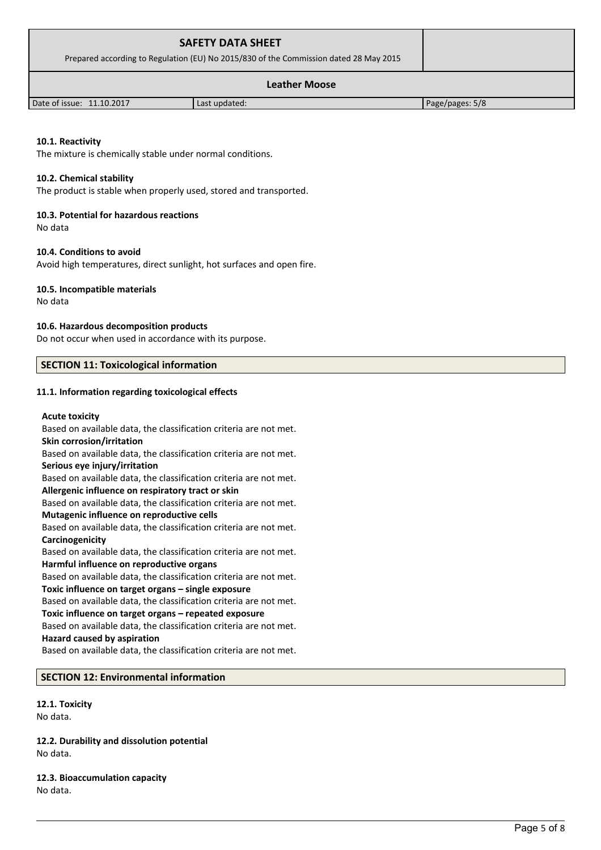| <b>SAFETY DATA SHEET</b><br>Prepared according to Regulation (EU) No 2015/830 of the Commission dated 28 May 2015 |               |                 |
|-------------------------------------------------------------------------------------------------------------------|---------------|-----------------|
| <b>Leather Moose</b>                                                                                              |               |                 |
| Date of issue: 11.10.2017                                                                                         | Last updated: | Page/pages: 5/8 |

# **10.1. Reactivity**

The mixture is chemically stable under normal conditions.

#### **10.2. Chemical stability**

The product is stable when properly used, stored and transported.

#### **10.3. Potential for hazardous reactions**

No data

# **10.4. Conditions to avoid**

Avoid high temperatures, direct sunlight, hot surfaces and open fire.

#### **10.5. Incompatible materials**

No data

#### **10.6. Hazardous decomposition products**

Do not occur when used in accordance with its purpose.

#### **SECTION 11: Toxicological information**

#### **11.1. Information regarding toxicological effects**

#### **Acute toxicity**

Based on available data, the classification criteria are not met. **Skin corrosion/irritation** Based on available data, the classification criteria are not met. **Serious eye injury/irritation** Based on available data, the classification criteria are not met. **Allergenic influence on respiratory tract or skin** Based on available data, the classification criteria are not met. **Mutagenic influence on reproductive cells** Based on available data, the classification criteria are not met. **Carcinogenicity** Based on available data, the classification criteria are not met. **Harmful influence on reproductive organs** Based on available data, the classification criteria are not met. **Toxic influence on target organs – single exposure** Based on available data, the classification criteria are not met. **Toxic influence on target organs – repeated exposure** Based on available data, the classification criteria are not met.

# **Hazard caused by aspiration**

Based on available data, the classification criteria are not met.

# **SECTION 12: Environmental information**

# **12.1. Toxicity**

No data.

**12.2. Durability and dissolution potential** No data.

# **12.3. Bioaccumulation capacity** No data.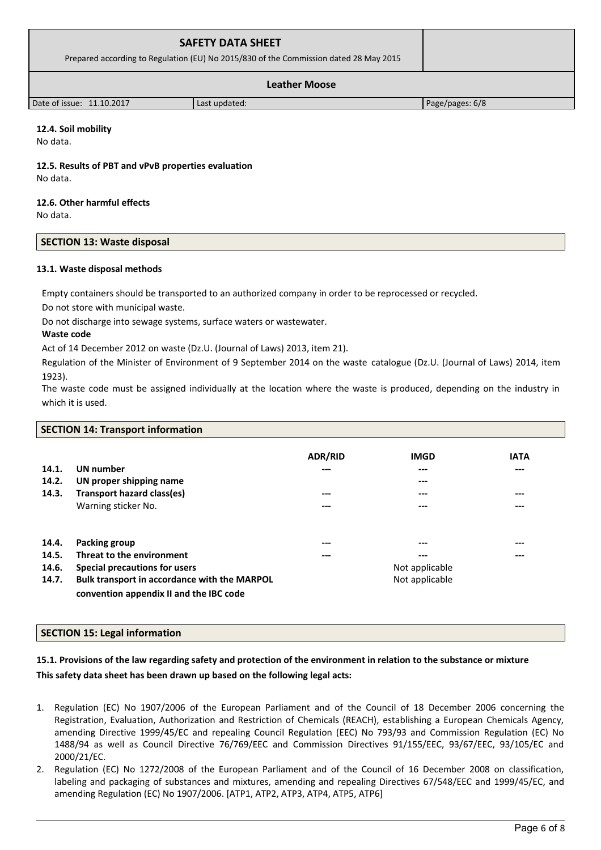| <b>SAFETY DATA SHEET</b><br>Prepared according to Regulation (EU) No 2015/830 of the Commission dated 28 May 2015 |               |                 |
|-------------------------------------------------------------------------------------------------------------------|---------------|-----------------|
| <b>Leather Moose</b>                                                                                              |               |                 |
| Date of issue: 11.10.2017                                                                                         | Last updated: | Page/pages: 6/8 |

# **12.4. Soil mobility**

No data.

**12.5. Results of PBT and vPvB properties evaluation** No data.

# **12.6. Other harmful effects**

No data.

# **SECTION 13: Waste disposal**

# **13.1. Waste disposal methods**

Empty containers should be transported to an authorized company in order to be reprocessed or recycled.

Do not store with municipal waste.

Do not discharge into sewage systems, surface waters or wastewater.

# **Waste code**

Act of 14 December 2012 on waste (Dz.U. (Journal of Laws) 2013, item 21).

Regulation of the Minister of Environment of 9 September 2014 on the waste catalogue (Dz.U. (Journal of Laws) 2014, item 1923).

The waste code must be assigned individually at the location where the waste is produced, depending on the industry in which it is used.

|       | <b>SECTION 14: Transport information</b>            |                |                |             |  |
|-------|-----------------------------------------------------|----------------|----------------|-------------|--|
|       |                                                     | <b>ADR/RID</b> | <b>IMGD</b>    | <b>IATA</b> |  |
| 14.1. | <b>UN number</b>                                    | ---            | ---            | ---         |  |
| 14.2. | UN proper shipping name                             |                | ---            |             |  |
| 14.3. | Transport hazard class(es)                          | ---            | ---            | ---         |  |
|       | Warning sticker No.                                 | ---            | ---            | ---         |  |
| 14.4. | Packing group                                       | ---            | ---            | ---         |  |
| 14.5. | Threat to the environment                           | ---            | ---            | ---         |  |
| 14.6. | Special precautions for users                       |                | Not applicable |             |  |
| 14.7. | <b>Bulk transport in accordance with the MARPOL</b> |                | Not applicable |             |  |
|       | convention appendix II and the IBC code             |                |                |             |  |

# **SECTION 15: Legal information**

# **15.1. Provisions of the law regarding safety and protection of the environment in relation to the substance or mixture This safety data sheet has been drawn up based on the following legal acts:**

- 1. Regulation (EC) No 1907/2006 of the European Parliament and of the Council of 18 December 2006 concerning the Registration, Evaluation, Authorization and Restriction of Chemicals (REACH), establishing a European Chemicals Agency, amending Directive 1999/45/EC and repealing Council Regulation (EEC) No 793/93 and Commission Regulation (EC) No 1488/94 as well as Council Directive 76/769/EEC and Commission Directives 91/155/EEC, 93/67/EEC, 93/105/EC and 2000/21/EC.
- 2. Regulation (EC) No 1272/2008 of the European Parliament and of the Council of 16 December 2008 on classification, labeling and packaging of substances and mixtures, amending and repealing Directives 67/548/EEC and 1999/45/EC, and amending Regulation (EC) No 1907/2006. [ATP1, ATP2, ATP3, ATP4, ATP5, ATP6]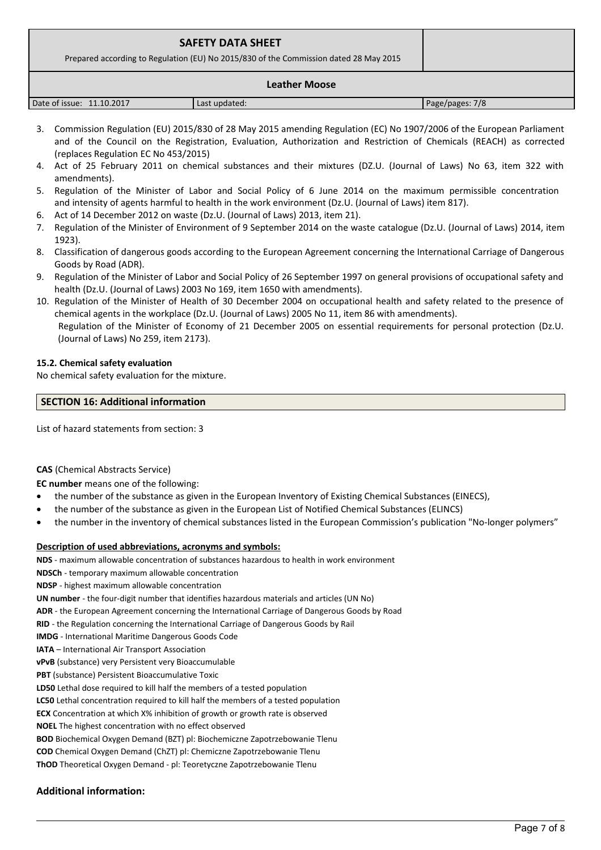| <b>SAFETY DATA SHEET</b><br>Prepared according to Regulation (EU) No 2015/830 of the Commission dated 28 May 2015 |  |
|-------------------------------------------------------------------------------------------------------------------|--|
| <b>Leather Moose</b>                                                                                              |  |

| 11.10.2017<br>Date of issue: | Last updated: | 7/8<br>Page/pages: |
|------------------------------|---------------|--------------------|

- 3. Commission Regulation (EU) 2015/830 of 28 May 2015 amending Regulation (EC) No 1907/2006 of the European Parliament and of the Council on the Registration, Evaluation, Authorization and Restriction of Chemicals (REACH) as corrected (replaces Regulation EC No 453/2015)
- 4. Act of 25 February 2011 on chemical substances and their mixtures (DZ.U. (Journal of Laws) No 63, item 322 with amendments).
- 5. Regulation of the Minister of Labor and Social Policy of 6 June 2014 on the maximum permissible concentration and intensity of agents harmful to health in the work environment (Dz.U. (Journal of Laws) item 817).
- 6. Act of 14 December 2012 on waste (Dz.U. (Journal of Laws) 2013, item 21).
- 7. Regulation of the Minister of Environment of 9 September 2014 on the waste catalogue (Dz.U. (Journal of Laws) 2014, item 1923).
- 8. Classification of dangerous goods according to the European Agreement concerning the International Carriage of Dangerous Goods by Road (ADR).
- 9. Regulation of the Minister of Labor and Social Policy of 26 September 1997 on general provisions of occupational safety and health (Dz.U. (Journal of Laws) 2003 No 169, item 1650 with amendments).
- 10. Regulation of the Minister of Health of 30 December 2004 on occupational health and safety related to the presence of chemical agents in the workplace (Dz.U. (Journal of Laws) 2005 No 11, item 86 with amendments). Regulation of the Minister of Economy of 21 December 2005 on essential requirements for personal protection (Dz.U. (Journal of Laws) No 259, item 2173).

# **15.2. Chemical safety evaluation**

No chemical safety evaluation for the mixture.

# **SECTION 16: Additional information**

List of hazard statements from section: 3

# **CAS** (Chemical Abstracts Service)

**EC number** means one of the following:

- the number of the substance as given in the European Inventory of Existing Chemical Substances (EINECS),
- the number of the substance as given in the European List of Notified Chemical Substances (ELINCS)
- the number in the inventory of chemical substances listed in the European Commission's publication "No-longer polymers"

# **Description of used abbreviations, acronyms and symbols:**

**NDS** - maximum allowable concentration of substances hazardous to health in work environment

- **NDSCh** temporary maximum allowable concentration
- **NDSP**  highest maximum allowable concentration
- **UN number**  the four-digit number that identifies hazardous materials and articles (UN No)
- **ADR** the European Agreement concerning the International Carriage of Dangerous Goods by Road

**RID** - the Regulation concerning the International Carriage of Dangerous Goods by Rail

- **IMDG** International Maritime Dangerous Goods Code
- **IATA**  International Air Transport Association
- **vPvB** (substance) very Persistent very Bioaccumulable
- **PBT** (substance) Persistent Bioaccumulative Toxic
- **LD50** Lethal dose required to kill half the members of a tested population
- **LC50** Lethal concentration required to kill half the members of a tested population
- **ECX** Concentration at which X% inhibition of growth or growth rate is observed
- **NOEL** The highest concentration with no effect observed
- **BOD** Biochemical Oxygen Demand (BZT) pl: Biochemiczne Zapotrzebowanie Tlenu
- **COD** Chemical Oxygen Demand (ChZT) pl: Chemiczne Zapotrzebowanie Tlenu

**ThOD** Theoretical Oxygen Demand - pl: Teoretyczne Zapotrzebowanie Tlenu

# **Additional information:**